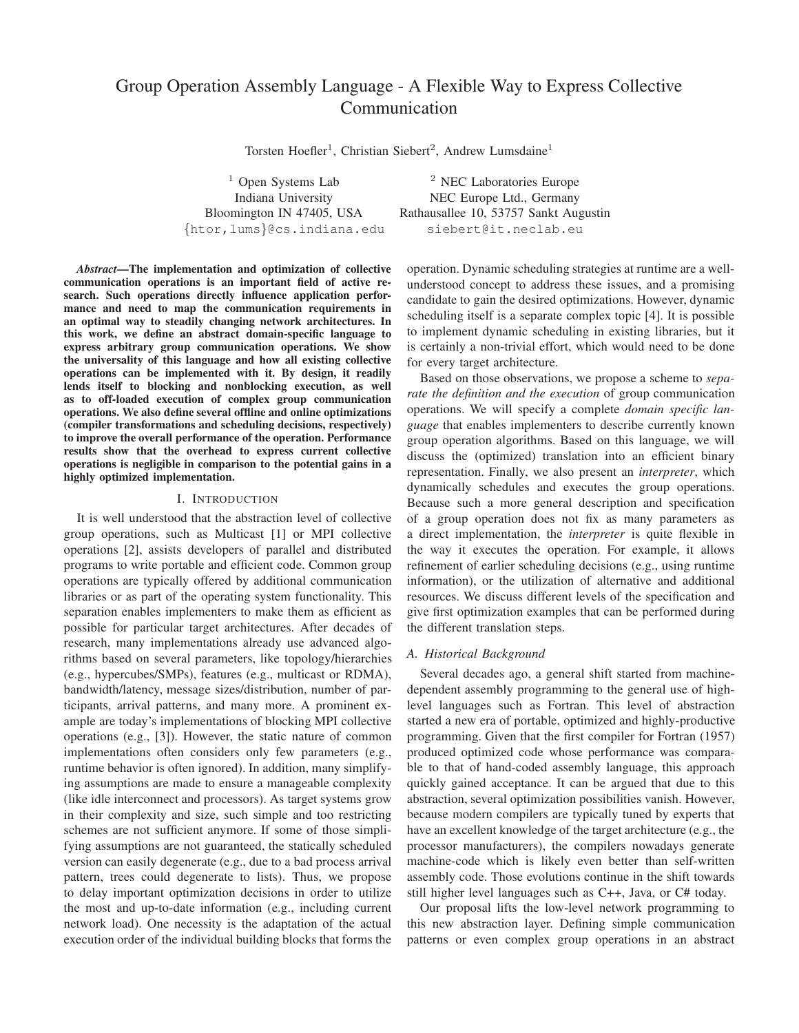# Group Operation Assembly Language - A Flexible Way to Express Collective Communication

Torsten Hoefler<sup>1</sup>, Christian Siebert<sup>2</sup>, Andrew Lumsdaine<sup>1</sup>

{htor,lums}@cs.indiana.edu siebert@it.neclab.eu

*Abstract***—The implementation and optimization of collective communication operations is an important field of active research. Such operations directly influence application performance and need to map the communication requirements in an optimal way to steadily changing network architectures. In this work, we define an abstract domain-specific language to express arbitrary group communication operations. We show the universality of this language and how all existing collective operations can be implemented with it. By design, it readily lends itself to blocking and nonblocking execution, as well as to off-loaded execution of complex group communication operations. We also define several offline and online optimizations (compiler transformations and scheduling decisions, respectively) to improve the overall performance of the operation. Performance results show that the overhead to express current collective operations is negligible in comparison to the potential gains in a highly optimized implementation.**

#### I. INTRODUCTION

It is well understood that the abstraction level of collective group operations, such as Multicast [1] or MPI collective operations [2], assists developers of parallel and distributed programs to write portable and efficient code. Common group operations are typically offered by additional communication libraries or as part of the operating system functionality. This separation enables implementers to make them as efficient as possible for particular target architectures. After decades of research, many implementations already use advanced algorithms based on several parameters, like topology/hierarchies (e.g., hypercubes/SMPs), features (e.g., multicast or RDMA), bandwidth/latency, message sizes/distribution, number of participants, arrival patterns, and many more. A prominent example are today's implementations of blocking MPI collective operations (e.g., [3]). However, the static nature of common implementations often considers only few parameters (e.g., runtime behavior is often ignored). In addition, many simplifying assumptions are made to ensure a manageable complexity (like idle interconnect and processors). As target systems grow in their complexity and size, such simple and too restricting schemes are not sufficient anymore. If some of those simplifying assumptions are not guaranteed, the statically scheduled version can easily degenerate (e.g., due to a bad process arrival pattern, trees could degenerate to lists). Thus, we propose to delay important optimization decisions in order to utilize the most and up-to-date information (e.g., including current network load). One necessity is the adaptation of the actual execution order of the individual building blocks that forms the

 $1$  Open Systems Lab  $2$  NEC Laboratories Europe Indiana University NEC Europe Ltd., Germany Bloomington IN 47405, USA Rathausallee 10, 53757 Sankt Augustin

> operation. Dynamic scheduling strategies at runtime are a wellunderstood concept to address these issues, and a promising candidate to gain the desired optimizations. However, dynamic scheduling itself is a separate complex topic [4]. It is possible to implement dynamic scheduling in existing libraries, but it is certainly a non-trivial effort, which would need to be done for every target architecture.

> Based on those observations, we propose a scheme to *separate the definition and the execution* of group communication operations. We will specify a complete *domain specific language* that enables implementers to describe currently known group operation algorithms. Based on this language, we will discuss the (optimized) translation into an efficient binary representation. Finally, we also present an *interpreter*, which dynamically schedules and executes the group operations. Because such a more general description and specification of a group operation does not fix as many parameters as a direct implementation, the *interpreter* is quite flexible in the way it executes the operation. For example, it allows refinement of earlier scheduling decisions (e.g., using runtime information), or the utilization of alternative and additional resources. We discuss different levels of the specification and give first optimization examples that can be performed during the different translation steps.

## *A. Historical Background*

Several decades ago, a general shift started from machinedependent assembly programming to the general use of highlevel languages such as Fortran. This level of abstraction started a new era of portable, optimized and highly-productive programming. Given that the first compiler for Fortran (1957) produced optimized code whose performance was comparable to that of hand-coded assembly language, this approach quickly gained acceptance. It can be argued that due to this abstraction, several optimization possibilities vanish. However, because modern compilers are typically tuned by experts that have an excellent knowledge of the target architecture (e.g., the processor manufacturers), the compilers nowadays generate machine-code which is likely even better than self-written assembly code. Those evolutions continue in the shift towards still higher level languages such as C++, Java, or C# today.

Our proposal lifts the low-level network programming to this new abstraction layer. Defining simple communication patterns or even complex group operations in an abstract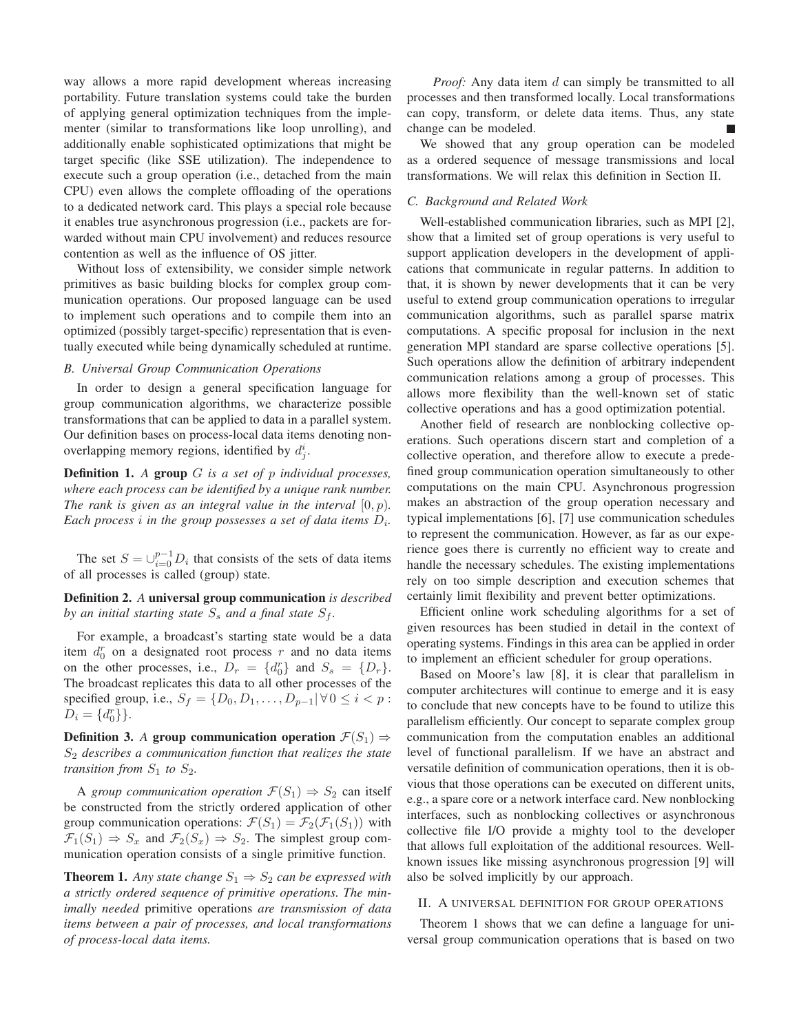way allows a more rapid development whereas increasing portability. Future translation systems could take the burden of applying general optimization techniques from the implementer (similar to transformations like loop unrolling), and additionally enable sophisticated optimizations that might be target specific (like SSE utilization). The independence to execute such a group operation (i.e., detached from the main CPU) even allows the complete offloading of the operations to a dedicated network card. This plays a special role because it enables true asynchronous progression (i.e., packets are forwarded without main CPU involvement) and reduces resource contention as well as the influence of OS jitter.

Without loss of extensibility, we consider simple network primitives as basic building blocks for complex group communication operations. Our proposed language can be used to implement such operations and to compile them into an optimized (possibly target-specific) representation that is eventually executed while being dynamically scheduled at runtime.

# *B. Universal Group Communication Operations*

In order to design a general specification language for group communication algorithms, we characterize possible transformations that can be applied to data in a parallel system. Our definition bases on process-local data items denoting nonoverlapping memory regions, identified by  $d_j^i$ .

**Definition 1.** *A* **group** G *is a set of* p *individual processes, where each process can be identified by a unique rank number. The rank is given as an integral value in the interval* [0, p)*.* Each process *i* in the group possesses a set of data items  $D_i$ .

The set  $S = \bigcup_{i=0}^{p-1} D_i$  that consists of the sets of data items of all processes is called (group) state.

**Definition 2.** *A* **universal group communication** *is described by an initial starting state*  $S_s$  *and a final state*  $S_f$ *.* 

For example, a broadcast's starting state would be a data item  $d_0^r$  on a designated root process r and no data items on the other processes, i.e.,  $D_r = \{d_0^r\}$  and  $S_s = \{D_r\}$ . The broadcast replicates this data to all other processes of the specified group, i.e.,  $S_f = \{D_0, D_1, \ldots, D_{p-1} | \forall 0 \le i < p$ :  $D_i = \{d_0^r\}$ .

**Definition 3.** *A* **group communication operation**  $\mathcal{F}(S_1) \Rightarrow$ S<sup>2</sup> *describes a communication function that realizes the state transition from*  $S_1$  *to*  $S_2$ *.* 

A *group communication operation*  $\mathcal{F}(S_1) \Rightarrow S_2$  can itself be constructed from the strictly ordered application of other group communication operations:  $\mathcal{F}(S_1) = \mathcal{F}_2(\mathcal{F}_1(S_1))$  with  $\mathcal{F}_1(S_1) \Rightarrow S_x$  and  $\mathcal{F}_2(S_x) \Rightarrow S_2$ . The simplest group communication operation consists of a single primitive function.

**Theorem 1.** *Any state change*  $S_1 \Rightarrow S_2$  *can be expressed with a strictly ordered sequence of primitive operations. The minimally needed* primitive operations *are transmission of data items between a pair of processes, and local transformations of process-local data items.*

*Proof:* Any data item d can simply be transmitted to all processes and then transformed locally. Local transformations can copy, transform, or delete data items. Thus, any state change can be modeled.

We showed that any group operation can be modeled as a ordered sequence of message transmissions and local transformations. We will relax this definition in Section II.

# *C. Background and Related Work*

Well-established communication libraries, such as MPI [2], show that a limited set of group operations is very useful to support application developers in the development of applications that communicate in regular patterns. In addition to that, it is shown by newer developments that it can be very useful to extend group communication operations to irregular communication algorithms, such as parallel sparse matrix computations. A specific proposal for inclusion in the next generation MPI standard are sparse collective operations [5]. Such operations allow the definition of arbitrary independent communication relations among a group of processes. This allows more flexibility than the well-known set of static collective operations and has a good optimization potential.

Another field of research are nonblocking collective operations. Such operations discern start and completion of a collective operation, and therefore allow to execute a predefined group communication operation simultaneously to other computations on the main CPU. Asynchronous progression makes an abstraction of the group operation necessary and typical implementations [6], [7] use communication schedules to represent the communication. However, as far as our experience goes there is currently no efficient way to create and handle the necessary schedules. The existing implementations rely on too simple description and execution schemes that certainly limit flexibility and prevent better optimizations.

Efficient online work scheduling algorithms for a set of given resources has been studied in detail in the context of operating systems. Findings in this area can be applied in order to implement an efficient scheduler for group operations.

Based on Moore's law [8], it is clear that parallelism in computer architectures will continue to emerge and it is easy to conclude that new concepts have to be found to utilize this parallelism efficiently. Our concept to separate complex group communication from the computation enables an additional level of functional parallelism. If we have an abstract and versatile definition of communication operations, then it is obvious that those operations can be executed on different units, e.g., a spare core or a network interface card. New nonblocking interfaces, such as nonblocking collectives or asynchronous collective file I/O provide a mighty tool to the developer that allows full exploitation of the additional resources. Wellknown issues like missing asynchronous progression [9] will also be solved implicitly by our approach.

## II. A UNIVERSAL DEFINITION FOR GROUP OPERATIONS

Theorem 1 shows that we can define a language for universal group communication operations that is based on two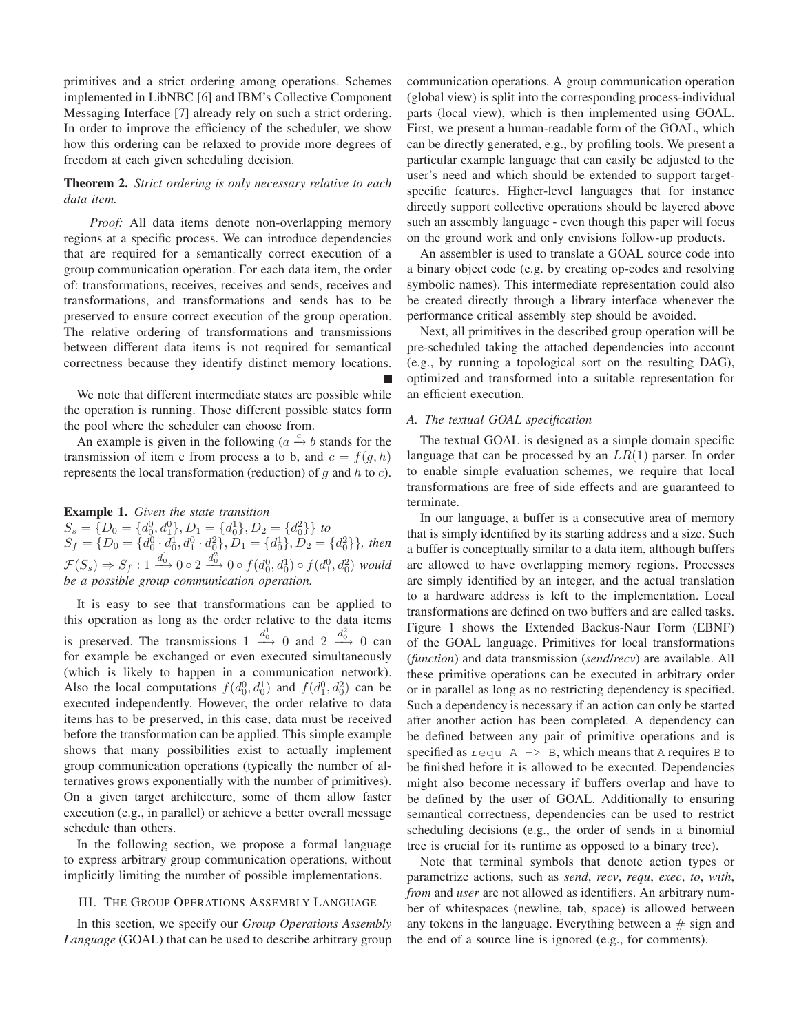primitives and a strict ordering among operations. Schemes implemented in LibNBC [6] and IBM's Collective Component Messaging Interface [7] already rely on such a strict ordering. In order to improve the efficiency of the scheduler, we show how this ordering can be relaxed to provide more degrees of freedom at each given scheduling decision.

# **Theorem 2.** *Strict ordering is only necessary relative to each data item.*

*Proof:* All data items denote non-overlapping memory regions at a specific process. We can introduce dependencies that are required for a semantically correct execution of a group communication operation. For each data item, the order of: transformations, receives, receives and sends, receives and transformations, and transformations and sends has to be preserved to ensure correct execution of the group operation. The relative ordering of transformations and transmissions between different data items is not required for semantical correctness because they identify distinct memory locations.

We note that different intermediate states are possible while the operation is running. Those different possible states form the pool where the scheduler can choose from.

An example is given in the following ( $a \xrightarrow{c} b$  stands for the transmission of item c from process a to b, and  $c = f(q, h)$ represents the local transformation (reduction) of  $g$  and  $h$  to  $c$ ).

# **Example 1.** *Given the state transition*

 $S_s = \{D_0 = \{d_0^0, d_1^0\}, D_1 = \{d_0^1\}, D_2 = \{d_0^2\}$  to  $S_f = \{D_0 = \{d_0^0 \cdot d_0^1, d_1^0 \cdot d_0^2\}, D_1 = \{d_0^1\}, D_2 = \{d_0^2\}\},\$  then  $\mathcal{F}(S_s) \Rightarrow S_f : 1 \xrightarrow{d_0^1} 0 \circ 2 \xrightarrow{d_0^2} 0 \circ f(d_0^0, d_0^1) \circ f(d_1^0, d_0^2)$  would *be a possible group communication operation.*

It is easy to see that transformations can be applied to this operation as long as the order relative to the data items is preserved. The transmissions  $1 \xrightarrow{d_0^1} 0$  and  $2 \xrightarrow{d_0^2} 0$  can for example be exchanged or even executed simultaneously (which is likely to happen in a communication network). Also the local computations  $f(d_0^0, d_0^1)$  and  $f(d_1^0, d_0^2)$  can be executed independently. However, the order relative to data items has to be preserved, in this case, data must be received before the transformation can be applied. This simple example shows that many possibilities exist to actually implement group communication operations (typically the number of alternatives grows exponentially with the number of primitives). On a given target architecture, some of them allow faster execution (e.g., in parallel) or achieve a better overall message schedule than others.

In the following section, we propose a formal language to express arbitrary group communication operations, without implicitly limiting the number of possible implementations.

## III. THE GROUP OPERATIONS ASSEMBLY LANGUAGE

In this section, we specify our *Group Operations Assembly Language* (GOAL) that can be used to describe arbitrary group

communication operations. A group communication operation (global view) is split into the corresponding process-individual parts (local view), which is then implemented using GOAL. First, we present a human-readable form of the GOAL, which can be directly generated, e.g., by profiling tools. We present a particular example language that can easily be adjusted to the user's need and which should be extended to support targetspecific features. Higher-level languages that for instance directly support collective operations should be layered above such an assembly language - even though this paper will focus on the ground work and only envisions follow-up products.

An assembler is used to translate a GOAL source code into a binary object code (e.g. by creating op-codes and resolving symbolic names). This intermediate representation could also be created directly through a library interface whenever the performance critical assembly step should be avoided.

Next, all primitives in the described group operation will be pre-scheduled taking the attached dependencies into account (e.g., by running a topological sort on the resulting DAG), optimized and transformed into a suitable representation for an efficient execution.

## *A. The textual GOAL specification*

The textual GOAL is designed as a simple domain specific language that can be processed by an  $LR(1)$  parser. In order to enable simple evaluation schemes, we require that local transformations are free of side effects and are guaranteed to terminate.

In our language, a buffer is a consecutive area of memory that is simply identified by its starting address and a size. Such a buffer is conceptually similar to a data item, although buffers are allowed to have overlapping memory regions. Processes are simply identified by an integer, and the actual translation to a hardware address is left to the implementation. Local transformations are defined on two buffers and are called tasks. Figure 1 shows the Extended Backus-Naur Form (EBNF) of the GOAL language. Primitives for local transformations (*function*) and data transmission (*send*/*recv*) are available. All these primitive operations can be executed in arbitrary order or in parallel as long as no restricting dependency is specified. Such a dependency is necessary if an action can only be started after another action has been completed. A dependency can be defined between any pair of primitive operations and is specified as requ  $A \rightarrow B$ , which means that A requires B to be finished before it is allowed to be executed. Dependencies might also become necessary if buffers overlap and have to be defined by the user of GOAL. Additionally to ensuring semantical correctness, dependencies can be used to restrict scheduling decisions (e.g., the order of sends in a binomial tree is crucial for its runtime as opposed to a binary tree).

Note that terminal symbols that denote action types or parametrize actions, such as *send*, *recv*, *requ*, *exec*, *to*, *with*, *from* and *user* are not allowed as identifiers. An arbitrary number of whitespaces (newline, tab, space) is allowed between any tokens in the language. Everything between  $a \# sign$  and the end of a source line is ignored (e.g., for comments).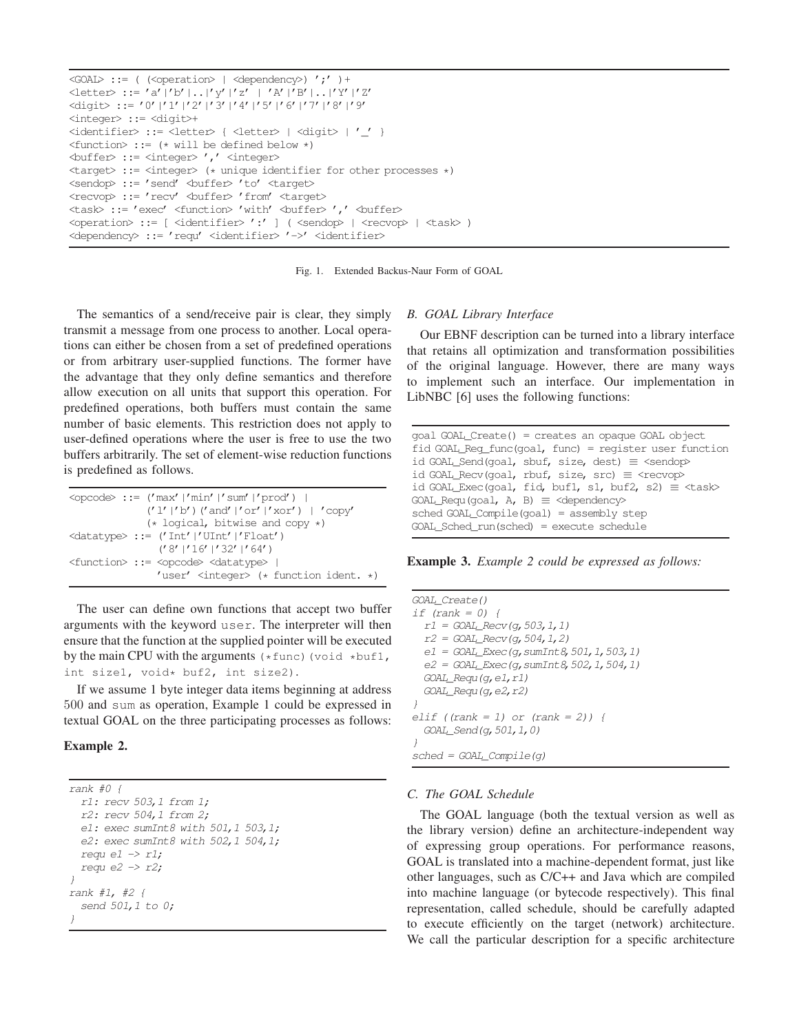```
\langleGOAL> ::= ( \langle<br/>operation> | \langledependency>) ';' )+
<letter> ::= 'a'|'b'|..|'y'|'z' | 'A'|'B'|..|'Y'|'Z'
<digit> ::= '0'|'1'|'2'|'3'|'4'|'5'|'6'|'7'|'8'|'9'
<integer> ::= <digit>+
<identifier> ::= <letter> { <letter> | <digit> | '_' }
\iff:= (* will be defined below *)
<buffer> ::= <integer> ',' <integer>
<target> ::= <integer> (* unique identifier for other processes *)
<sendop>: = 'send' <br/> <br/> <br/>to' <target>
<recvop>::= 'recv' <br/> <br/> <br/>thom' <target>
<task> := 'exec' <function> 'with' <br/> <br/> <br/> <br/>hter> ',' <br/> <br/> <br/> <br/>thery
<operation> ::= [ <identifier> ':' ] ( <sendop> | <recvop> | <task> )
<dependency> ::= 'requ' <identifier> '->' <identifier>
```
Fig. 1. Extended Backus-Naur Form of GOAL

The semantics of a send/receive pair is clear, they simply transmit a message from one process to another. Local operations can either be chosen from a set of predefined operations or from arbitrary user-supplied functions. The former have the advantage that they only define semantics and therefore allow execution on all units that support this operation. For predefined operations, both buffers must contain the same number of basic elements. This restriction does not apply to user-defined operations where the user is free to use the two buffers arbitrarily. The set of element-wise reduction functions is predefined as follows.

```
\text{Copcode}:= ('max'|'min'|'sum'|'prod') |
             ('l'|'b')('and'|'or'|'xor') | 'copy'
             (* logical, bitwise and copy *)
<datatype> ::= ('Int'|'UInt'|'Float')
               ('8'|'16'|'32'|'64')
<function> ::= <opcode> <datatype> |
               'user' <integer> (* function ident. *)
```
The user can define own functions that accept two buffer arguments with the keyword user. The interpreter will then ensure that the function at the supplied pointer will be executed by the main CPU with the arguments  $(*func)$  (void  $*buf1$ , int size1, void\* buf2, int size2).

If we assume 1 byte integer data items beginning at address 500 and sum as operation, Example 1 could be expressed in textual GOAL on the three participating processes as follows:

# **Example 2.**

```
rank #0 {
  r1: recv 503,1 from 1;
  r2: recv 504,1 from 2;
  e1: exec sumInt8 with 501, 1 503, 1;
  e2: exec sumInt8 with 502, 1 504, 1;
  requ e1 \rightarrow r1;
  requ e2 \rightarrow r2;
}
rank #1, #2 {
  send 501,1 to 0;
}
```
# *B. GOAL Library Interface*

Our EBNF description can be turned into a library interface that retains all optimization and transformation possibilities of the original language. However, there are many ways to implement such an interface. Our implementation in LibNBC [6] uses the following functions:

```
goal GOAL_Create() = creates an opaque GOAL object
fid GOAL_Reg_func(goal, func) = register user function
id GOAL Send(goal, sbuf, size, dest) \equiv <sendop>
id GOAL_Recv(goal, rbuf, size, src) \equiv <recvop>
id GOAL_Exec(goal, fid, buf1, s1, buf2, s2) \equiv <task>
GOAL_Requ(goal, A, B) \equiv <dependency>
sched GOAL Compile(goal) = assembly step
GOL Sched run(sched) = execute schedule
```
**Example 3.** *Example 2 could be expressed as follows:*

GOAL\_Create() if  $(rank = 0)$  {  $r1 = GOAL\_Recv(q, 503, 1, 1)$  $r2 = GOAL\_Recv(g, 504, 1, 2)$  $e1 = GOAL\_Exec(g, sumInt8, 501, 1, 503, 1)$  $e2 = GOAL$  Exec(q, sumInt8, 502, 1, 504, 1)  $GOAL\_Regu(q, e1, r1)$  $GOAL\_Regu$  (g, e2,  $r2$ ) } elif ((rank = 1) or (rank = 2)) { GOAL\_Send(g,501,1,0) }  $sched = GOAL\_Compile(q)$ 

# *C. The GOAL Schedule*

The GOAL language (both the textual version as well as the library version) define an architecture-independent way of expressing group operations. For performance reasons, GOAL is translated into a machine-dependent format, just like other languages, such as C/C++ and Java which are compiled into machine language (or bytecode respectively). This final representation, called schedule, should be carefully adapted to execute efficiently on the target (network) architecture. We call the particular description for a specific architecture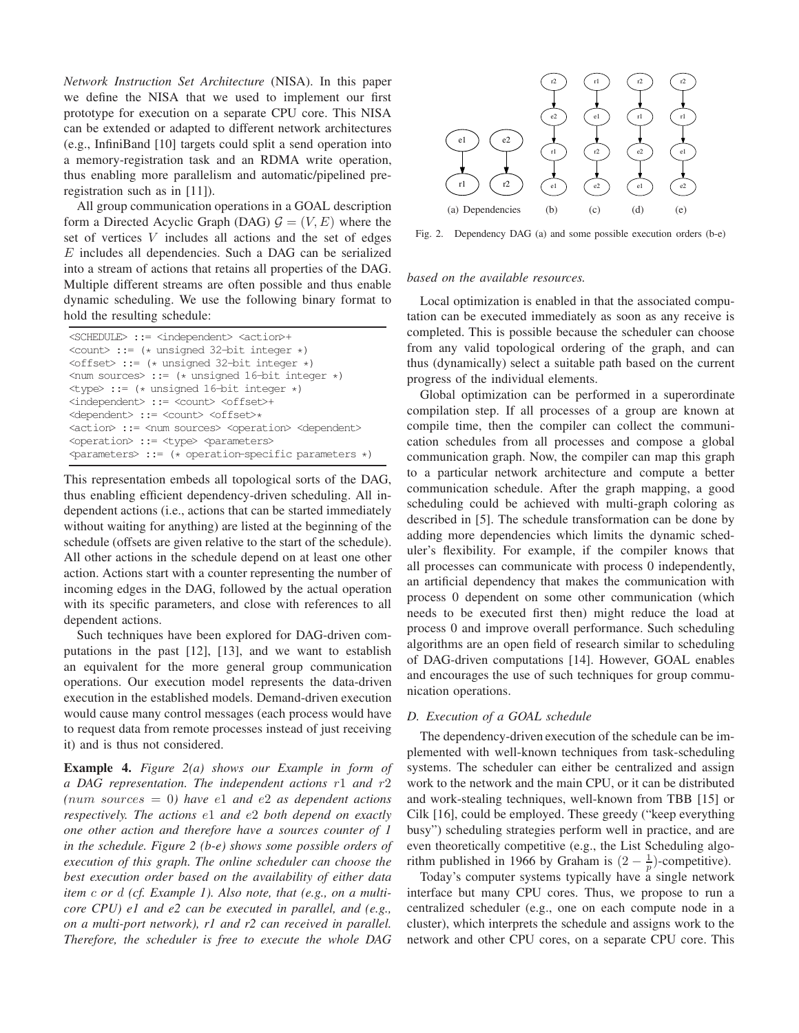*Network Instruction Set Architecture* (NISA). In this paper we define the NISA that we used to implement our first prototype for execution on a separate CPU core. This NISA can be extended or adapted to different network architectures (e.g., InfiniBand [10] targets could split a send operation into a memory-registration task and an RDMA write operation, thus enabling more parallelism and automatic/pipelined preregistration such as in [11]).

All group communication operations in a GOAL description form a Directed Acyclic Graph (DAG)  $G = (V, E)$  where the set of vertices V includes all actions and the set of edges E includes all dependencies. Such a DAG can be serialized into a stream of actions that retains all properties of the DAG. Multiple different streams are often possible and thus enable dynamic scheduling. We use the following binary format to hold the resulting schedule:

| <schedule> ::= <independent> <action>+</action></independent></schedule>                     |
|----------------------------------------------------------------------------------------------|
| $\frac{\text{count}}{\text{min}}$ ::= (* unsigned 32-bit integer *)                          |
| $\langle \text{offset} \rangle$ ::= (* unsigned 32-bit integer *)                            |
| $\langle$ num sources> ::= (* unsigned 16-bit integer *)                                     |
| $\langle \text{type} \rangle$ := (* unsigned 16-bit integer *)                               |
| <independent> ::= <count> <offset>+</offset></count></independent>                           |
| <dependent> ::= <count> <offset>*</offset></count></dependent>                               |
| <action> ::= <num sources=""> <operation> <dependent></dependent></operation></num></action> |
| <operation> ::= <type> <parameters></parameters></type></operation>                          |
| $\Diamond$ parameters $>$ ::= (* operation-specific parameters *)                            |

This representation embeds all topological sorts of the DAG, thus enabling efficient dependency-driven scheduling. All independent actions (i.e., actions that can be started immediately without waiting for anything) are listed at the beginning of the schedule (offsets are given relative to the start of the schedule). All other actions in the schedule depend on at least one other action. Actions start with a counter representing the number of incoming edges in the DAG, followed by the actual operation with its specific parameters, and close with references to all dependent actions.

Such techniques have been explored for DAG-driven computations in the past [12], [13], and we want to establish an equivalent for the more general group communication operations. Our execution model represents the data-driven execution in the established models. Demand-driven execution would cause many control messages (each process would have to request data from remote processes instead of just receiving it) and is thus not considered.

**Example 4.** *Figure 2(a) shows our Example in form of a DAG representation. The independent actions* r1 *and* r2 *(*num sources = 0*) have* e1 *and* e2 *as dependent actions respectively. The actions* e1 *and* e2 *both depend on exactly one other action and therefore have a sources counter of 1 in the schedule. Figure 2 (b-e) shows some possible orders of execution of this graph. The online scheduler can choose the best execution order based on the availability of either data item* c *or* d *(cf. Example 1). Also note, that (e.g., on a multicore CPU) e1 and e2 can be executed in parallel, and (e.g., on a multi-port network), r1 and r2 can received in parallel. Therefore, the scheduler is free to execute the whole DAG*



Fig. 2. Dependency DAG (a) and some possible execution orders (b-e)

#### *based on the available resources.*

Local optimization is enabled in that the associated computation can be executed immediately as soon as any receive is completed. This is possible because the scheduler can choose from any valid topological ordering of the graph, and can thus (dynamically) select a suitable path based on the current progress of the individual elements.

Global optimization can be performed in a superordinate compilation step. If all processes of a group are known at compile time, then the compiler can collect the communication schedules from all processes and compose a global communication graph. Now, the compiler can map this graph to a particular network architecture and compute a better communication schedule. After the graph mapping, a good scheduling could be achieved with multi-graph coloring as described in [5]. The schedule transformation can be done by adding more dependencies which limits the dynamic scheduler's flexibility. For example, if the compiler knows that all processes can communicate with process 0 independently, an artificial dependency that makes the communication with process 0 dependent on some other communication (which needs to be executed first then) might reduce the load at process 0 and improve overall performance. Such scheduling algorithms are an open field of research similar to scheduling of DAG-driven computations [14]. However, GOAL enables and encourages the use of such techniques for group communication operations.

## *D. Execution of a GOAL schedule*

The dependency-driven execution of the schedule can be implemented with well-known techniques from task-scheduling systems. The scheduler can either be centralized and assign work to the network and the main CPU, or it can be distributed and work-stealing techniques, well-known from TBB [15] or Cilk [16], could be employed. These greedy ("keep everything busy") scheduling strategies perform well in practice, and are even theoretically competitive (e.g., the List Scheduling algorithm published in 1966 by Graham is  $(2 - \frac{1}{p})$  $\frac{1}{p}$ )-competitive).

Today's computer systems typically have a single network interface but many CPU cores. Thus, we propose to run a centralized scheduler (e.g., one on each compute node in a cluster), which interprets the schedule and assigns work to the network and other CPU cores, on a separate CPU core. This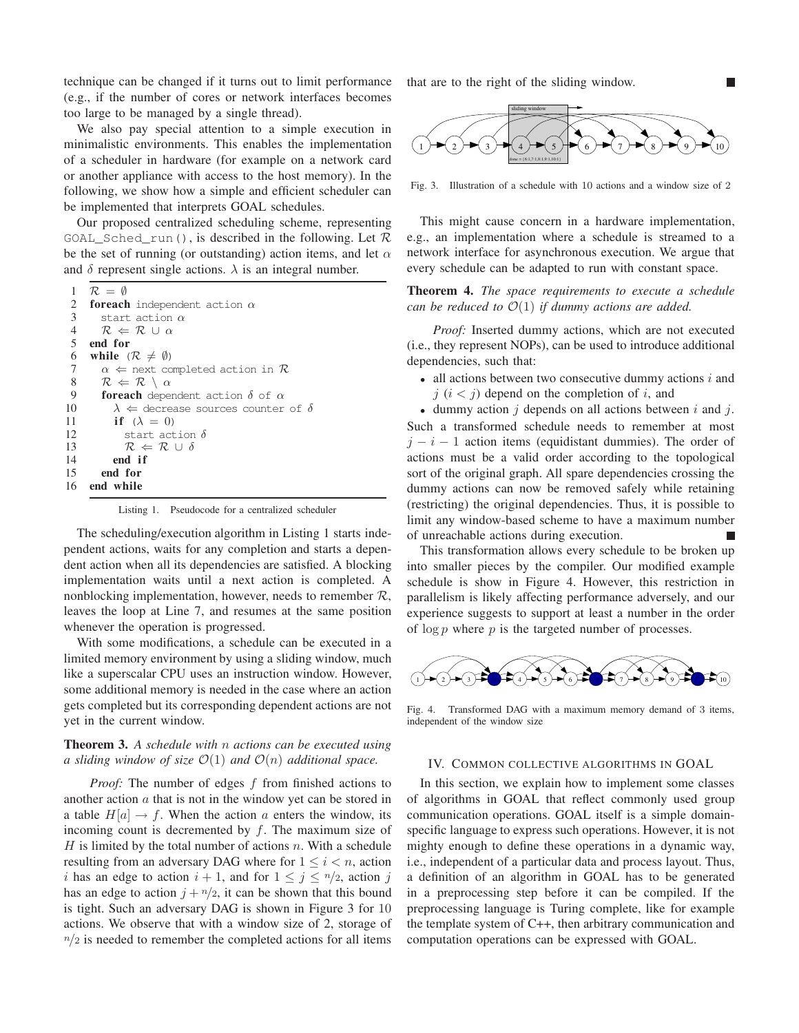technique can be changed if it turns out to limit performance (e.g., if the number of cores or network interfaces becomes too large to be managed by a single thread).

We also pay special attention to a simple execution in minimalistic environments. This enables the implementation of a scheduler in hardware (for example on a network card or another appliance with access to the host memory). In the following, we show how a simple and efficient scheduler can be implemented that interprets GOAL schedules.

Our proposed centralized scheduling scheme, representing GOAL\_Sched\_run(), is described in the following. Let  $\mathcal R$ be the set of running (or outstanding) action items, and let  $\alpha$ and  $\delta$  represent single actions.  $\lambda$  is an integral number.

|                 | 1 $\mathcal{R} = \emptyset$                               |
|-----------------|-----------------------------------------------------------|
|                 | 2 <b>foreach</b> independent action $\alpha$              |
| 3               | start action $\alpha$                                     |
| $\overline{4}$  | $R \Leftarrow R \cup \alpha$                              |
| $5\overline{)}$ | end for                                                   |
| 6               | while $(\mathcal{R} \neq \emptyset)$                      |
| $7\phantom{.0}$ | $\alpha \Leftarrow$ next completed action in $\mathcal R$ |
| 8               | $\mathcal{R} \Leftarrow \mathcal{R} \setminus \alpha$     |
| 9               | <b>foreach</b> dependent action $\delta$ of $\alpha$      |
| 10              | $\lambda \Leftarrow$ decrease sources counter of $\delta$ |
| 11              | if $(\lambda = 0)$                                        |
| 12              | start action $\delta$                                     |
| 13              | $R \Leftarrow R \cup \delta$                              |
| 14              | end if                                                    |
|                 | 15 end for                                                |
| 16              | end while                                                 |

Listing 1. Pseudocode for a centralized scheduler

The scheduling/execution algorithm in Listing 1 starts independent actions, waits for any completion and starts a dependent action when all its dependencies are satisfied. A blocking implementation waits until a next action is completed. A nonblocking implementation, however, needs to remember  $\mathcal{R}$ , leaves the loop at Line 7, and resumes at the same position whenever the operation is progressed.

With some modifications, a schedule can be executed in a limited memory environment by using a sliding window, much like a superscalar CPU uses an instruction window. However, some additional memory is needed in the case where an action gets completed but its corresponding dependent actions are not yet in the current window.

# **Theorem 3.** *A schedule with* n *actions can be executed using a sliding window of size*  $\mathcal{O}(1)$  *and*  $\mathcal{O}(n)$  *additional space.*

*Proof:* The number of edges f from finished actions to another action  $a$  that is not in the window yet can be stored in a table  $H[a] \to f$ . When the action a enters the window, its incoming count is decremented by  $f$ . The maximum size of  $H$  is limited by the total number of actions n. With a schedule resulting from an adversary DAG where for  $1 \leq i < n$ , action i has an edge to action  $i + 1$ , and for  $1 \leq j \leq n/2$ , action j has an edge to action  $j + \frac{n}{2}$ , it can be shown that this bound is tight. Such an adversary DAG is shown in Figure 3 for 10 actions. We observe that with a window size of 2, storage of  $n/2$  is needed to remember the completed actions for all items

that are to the right of the sliding window.



Fig. 3. Illustration of a schedule with 10 actions and a window size of 2

This might cause concern in a hardware implementation, e.g., an implementation where a schedule is streamed to a network interface for asynchronous execution. We argue that every schedule can be adapted to run with constant space.

# **Theorem 4.** *The space requirements to execute a schedule can be reduced to*  $\mathcal{O}(1)$  *if dummy actions are added.*

*Proof:* Inserted dummy actions, which are not executed (i.e., they represent NOPs), can be used to introduce additional dependencies, such that:

• all actions between two consecutive dummy actions  $i$  and  $j$   $(i < j)$  depend on the completion of i, and

• dummy action  $j$  depends on all actions between  $i$  and  $j$ . Such a transformed schedule needs to remember at most  $j - i - 1$  action items (equidistant dummies). The order of actions must be a valid order according to the topological sort of the original graph. All spare dependencies crossing the dummy actions can now be removed safely while retaining (restricting) the original dependencies. Thus, it is possible to limit any window-based scheme to have a maximum number of unreachable actions during execution.

This transformation allows every schedule to be broken up into smaller pieces by the compiler. Our modified example schedule is show in Figure 4. However, this restriction in parallelism is likely affecting performance adversely, and our experience suggests to support at least a number in the order of  $\log p$  where p is the targeted number of processes.



Fig. 4. Transformed DAG with a maximum memory demand of 3 items, independent of the window size

#### IV. COMMON COLLECTIVE ALGORITHMS IN GOAL

In this section, we explain how to implement some classes of algorithms in GOAL that reflect commonly used group communication operations. GOAL itself is a simple domainspecific language to express such operations. However, it is not mighty enough to define these operations in a dynamic way, i.e., independent of a particular data and process layout. Thus, a definition of an algorithm in GOAL has to be generated in a preprocessing step before it can be compiled. If the preprocessing language is Turing complete, like for example the template system of C++, then arbitrary communication and computation operations can be expressed with GOAL.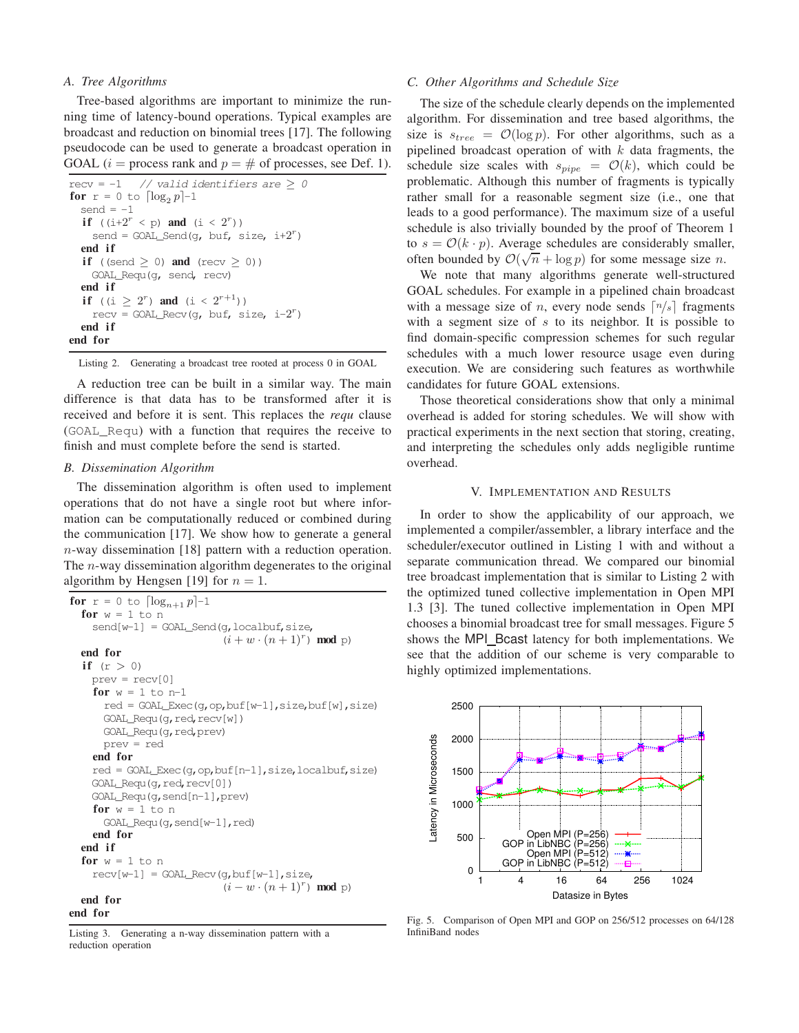## *A. Tree Algorithms*

Tree-based algorithms are important to minimize the running time of latency-bound operations. Typical examples are broadcast and reduction on binomial trees [17]. The following pseudocode can be used to generate a broadcast operation in GOAL ( $i =$  process rank and  $p = #$  of processes, see Def. 1).

```
recv = -1 // valid identifiers are \geq 0for r = 0 to \lceil \log_2 p \rceil - 1send = -1if ((i+2^r < p) and (i < 2^r))send = GOAL\_Send(q, \text{buf}, \text{size}, \text{ i+2}^r)end i f
  if ((send > 0) and (recv > 0))
    GOAL_Requ(g, send, recv)
  end if
   if ((i \geq 2^r) and (i < 2^{r+1})recv = GOAL_Recv(g, buf, size, i-2^r)
  end i f
end for
```
Listing 2. Generating a broadcast tree rooted at process 0 in GOAL

A reduction tree can be built in a similar way. The main difference is that data has to be transformed after it is received and before it is sent. This replaces the *requ* clause (GOAL\_Requ) with a function that requires the receive to finish and must complete before the send is started.

## *B. Dissemination Algorithm*

The dissemination algorithm is often used to implement operations that do not have a single root but where information can be computationally reduced or combined during the communication [17]. We show how to generate a general n-way dissemination [18] pattern with a reduction operation. The  $n$ -way dissemination algorithm degenerates to the original algorithm by Hengsen [19] for  $n = 1$ .

```
for r = 0 to \lceil \log_{n+1} p \rceil - 1for w = 1 to n
    send[w-1] = GOAL\_Send(q, localbuf, size,(i + w \cdot (n + 1)^r) mod p)
  end for
  if (r > 0)prev = recv[0]
    for w = 1 to n-1red = GOAL\_Exec(q, op, but[w-1], size, but [w], size)GOAL_Requ(g,red,recv[w])
      GOAL_Requ(g,red,prev)
      prev = red
    end for
    red = GOAL_Exec(g,op,buf[n-1],size,localbuf,size)
    GOAL_Requ(q,red,recv[0])
    GOAL_Requ(g,send[n-1],prev)
    for w = 1 to n
      GOAL_Requ(g,send[w-1],red)
    end for
  end i f
  for w = 1 to n
    recv[w-1] = GOAL\_Recv(q, but[w-1], size,(i - w \cdot (n + 1)^r) mod p)
  end for
```
## **end for**

Listing 3. Generating a n-way dissemination pattern with a reduction operation

## *C. Other Algorithms and Schedule Size*

The size of the schedule clearly depends on the implemented algorithm. For dissemination and tree based algorithms, the size is  $s_{tree} = \mathcal{O}(\log p)$ . For other algorithms, such as a pipelined broadcast operation of with  $k$  data fragments, the schedule size scales with  $s_{pipe} = \mathcal{O}(k)$ , which could be problematic. Although this number of fragments is typically rather small for a reasonable segment size (i.e., one that leads to a good performance). The maximum size of a useful schedule is also trivially bounded by the proof of Theorem 1 to  $s = \mathcal{O}(k \cdot p)$ . Average schedules are considerably smaller, often bounded by  $\mathcal{O}(\sqrt{n} + \log p)$  for some message size *n*.

We note that many algorithms generate well-structured GOAL schedules. For example in a pipelined chain broadcast with a message size of *n*, every node sends  $\lceil n/s \rceil$  fragments with a segment size of  $s$  to its neighbor. It is possible to find domain-specific compression schemes for such regular schedules with a much lower resource usage even during execution. We are considering such features as worthwhile candidates for future GOAL extensions.

Those theoretical considerations show that only a minimal overhead is added for storing schedules. We will show with practical experiments in the next section that storing, creating, and interpreting the schedules only adds negligible runtime overhead.

#### V. IMPLEMENTATION AND RESULTS

In order to show the applicability of our approach, we implemented a compiler/assembler, a library interface and the scheduler/executor outlined in Listing 1 with and without a separate communication thread. We compared our binomial tree broadcast implementation that is similar to Listing 2 with the optimized tuned collective implementation in Open MPI 1.3 [3]. The tuned collective implementation in Open MPI chooses a binomial broadcast tree for small messages. Figure 5 shows the MPI\_Bcast latency for both implementations. We see that the addition of our scheme is very comparable to highly optimized implementations.



Fig. 5. Comparison of Open MPI and GOP on 256/512 processes on 64/128 InfiniBand nodes